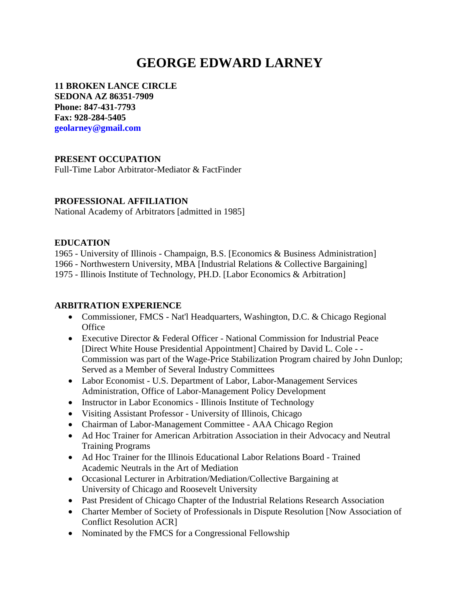# **GEORGE EDWARD LARNEY**

**11 BROKEN LANCE CIRCLE SEDONA AZ 86351-7909 Phone: 847-431-7793 Fax: 928-284-5405 geolarney@gmail.com**

## **PRESENT OCCUPATION**

Full-Time Labor Arbitrator-Mediator & FactFinder

#### **PROFESSIONAL AFFILIATION**

National Academy of Arbitrators [admitted in 1985]

#### **EDUCATION**

1965 - University of Illinois - Champaign, B.S. [Economics & Business Administration] 1966 - Northwestern University, MBA [Industrial Relations & Collective Bargaining] 1975 - Illinois Institute of Technology, PH.D. [Labor Economics & Arbitration]

#### **ARBITRATION EXPERIENCE**

- Commissioner, FMCS Nat'l Headquarters, Washington, D.C. & Chicago Regional **Office**
- Executive Director & Federal Officer National Commission for Industrial Peace [Direct White House Presidential Appointment] Chaired by David L. Cole - - Commission was part of the Wage-Price Stabilization Program chaired by John Dunlop; Served as a Member of Several Industry Committees
- Labor Economist U.S. Department of Labor, Labor-Management Services Administration, Office of Labor-Management Policy Development
- Instructor in Labor Economics Illinois Institute of Technology
- Visiting Assistant Professor University of Illinois, Chicago
- Chairman of Labor-Management Committee AAA Chicago Region
- Ad Hoc Trainer for American Arbitration Association in their Advocacy and Neutral Training Programs
- Ad Hoc Trainer for the Illinois Educational Labor Relations Board Trained Academic Neutrals in the Art of Mediation
- Occasional Lecturer in Arbitration/Mediation/Collective Bargaining at University of Chicago and Roosevelt University
- Past President of Chicago Chapter of the Industrial Relations Research Association
- Charter Member of Society of Professionals in Dispute Resolution [Now Association of Conflict Resolution ACR]
- Nominated by the FMCS for a Congressional Fellowship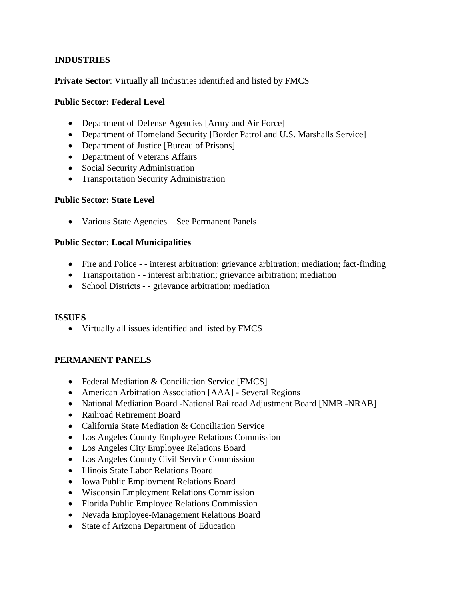## **INDUSTRIES**

**Private Sector**: Virtually all Industries identified and listed by FMCS

## **Public Sector: Federal Level**

- Department of Defense Agencies [Army and Air Force]
- Department of Homeland Security [Border Patrol and U.S. Marshalls Service]
- Department of Justice [Bureau of Prisons]
- Department of Veterans Affairs
- Social Security Administration
- Transportation Security Administration

## **Public Sector: State Level**

• Various State Agencies – See Permanent Panels

## **Public Sector: Local Municipalities**

- Fire and Police - interest arbitration; grievance arbitration; mediation; fact-finding
- Transportation - interest arbitration; grievance arbitration; mediation
- School Districts - grievance arbitration; mediation

## **ISSUES**

• Virtually all issues identified and listed by FMCS

## **PERMANENT PANELS**

- Federal Mediation & Conciliation Service [FMCS]
- American Arbitration Association [AAA] Several Regions
- National Mediation Board -National Railroad Adjustment Board [NMB -NRAB]
- Railroad Retirement Board
- California State Mediation & Conciliation Service
- Los Angeles County Employee Relations Commission
- Los Angeles City Employee Relations Board
- Los Angeles County Civil Service Commission
- Illinois State Labor Relations Board
- Iowa Public Employment Relations Board
- Wisconsin Employment Relations Commission
- Florida Public Employee Relations Commission
- Nevada Employee-Management Relations Board
- State of Arizona Department of Education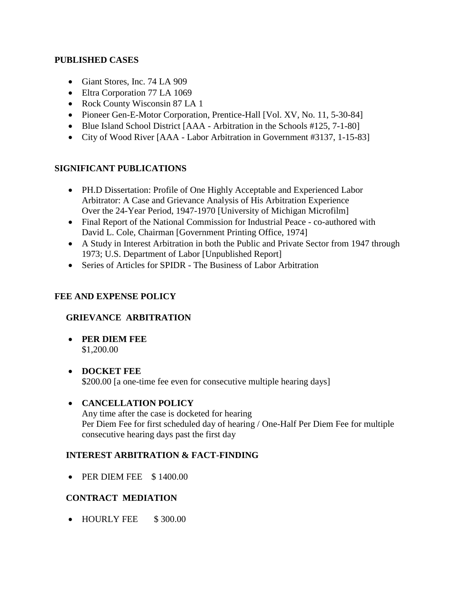#### **PUBLISHED CASES**

- Giant Stores, Inc. 74 LA 909
- Eltra Corporation 77 LA 1069
- Rock County Wisconsin 87 LA 1
- Pioneer Gen-E-Motor Corporation, Prentice-Hall [Vol. XV, No. 11, 5-30-84]
- Blue Island School District [AAA Arbitration in the Schools #125, 7-1-80]
- City of Wood River [AAA Labor Arbitration in Government #3137, 1-15-83]

## **SIGNIFICANT PUBLICATIONS**

- PH.D Dissertation: Profile of One Highly Acceptable and Experienced Labor Arbitrator: A Case and Grievance Analysis of His Arbitration Experience Over the 24-Year Period, 1947-1970 [University of Michigan Microfilm]
- Final Report of the National Commission for Industrial Peace co-authored with David L. Cole, Chairman [Government Printing Office, 1974]
- A Study in Interest Arbitration in both the Public and Private Sector from 1947 through 1973; U.S. Department of Labor [Unpublished Report]
- Series of Articles for SPIDR The Business of Labor Arbitration

## **FEE AND EXPENSE POLICY**

# **GRIEVANCE ARBITRATION**

- **PER DIEM FEE** \$1,200.00
- **DOCKET FEE** \$200.00 [a one-time fee even for consecutive multiple hearing days]

## • **CANCELLATION POLICY**

Any time after the case is docketed for hearing Per Diem Fee for first scheduled day of hearing / One-Half Per Diem Fee for multiple consecutive hearing days past the first day

## **INTEREST ARBITRATION & FACT-FINDING**

• PER DIEM FEE \$1400.00

# **CONTRACT MEDIATION**

• HOURLY FEE \$300.00